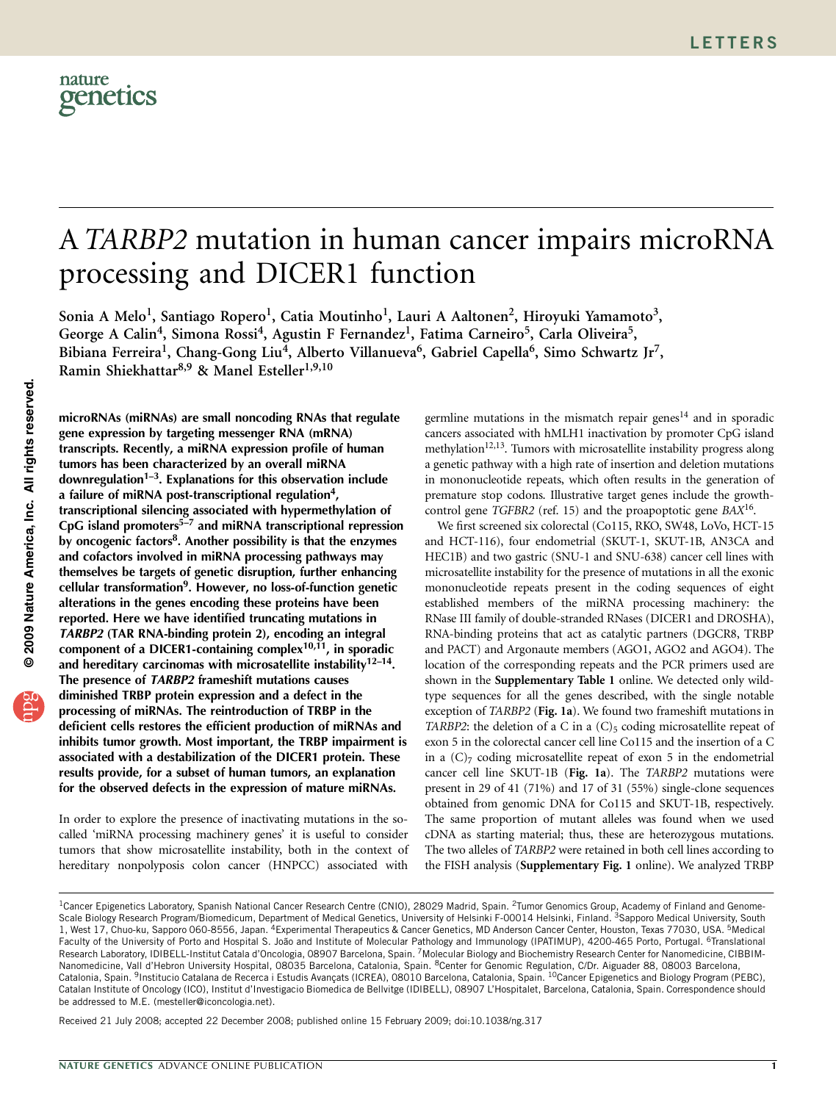## ATARBP2 mutation in human cancer impairs microRNA processing and DICER1 function

Sonia A Melo<sup>1</sup>, Santiago Ropero<sup>1</sup>, Catia Moutinho<sup>1</sup>, Lauri A Aaltonen<sup>2</sup>, Hiroyuki Yamamoto<sup>3</sup>, George A Calin<sup>4</sup>, Simona Rossi<sup>4</sup>, Agustin F Fernandez<sup>1</sup>, Fatima Carneiro<sup>5</sup>, Carla Oliveira<sup>5</sup>, Bibiana Ferreira<sup>1</sup>, Chang-Gong Liu<sup>4</sup>, Alberto Villanueva<sup>6</sup>, Gabriel Capella<sup>6</sup>, Simo Schwartz Jr<sup>7</sup>, Ramin Shiekhattar<sup>8,9</sup> & Manel Esteller<sup>1,9,10</sup>

microRNAs (miRNAs) are small noncoding RNAs that regulate gene expression by targeting messenger RNA (mRNA) transcripts. Recently, a miRNA expression profile of human tumors has been characterized by an overall miRNA  $downregulation<sup>1–3</sup>$ . Explanations for this observation include a failure of miRNA post-transcriptional regulation<sup>[4](#page-5-0)</sup>, transcriptional silencing associated with hypermethylation of  $CpG$  island promoters<sup>5–7</sup> and miRNA transcriptional repression by oncogenic factors $8$ . Another possibility is that the enzymes and cofactors involved in miRNA processing pathways may themselves be targets of genetic disruption, further enhancing cellular transformatio[n9.](#page-5-0) However, no loss-of-function genetic alterations in the genes encoding these proteins have been reported. Here we have identified truncating mutations in TARBP2 (TAR RNA-binding protein 2), encoding an integral component of a DICER1-containing complex<sup>10,11</sup>, in sporadic and hereditary carcinomas with microsatellite instability<sup>12-14</sup>. The presence of TARBP2 frameshift mutations causes diminished TRBP protein expression and a defect in the processing of miRNAs. The reintroduction of TRBP in the deficient cells restores the efficient production of miRNAs and inhibits tumor growth. Most important, the TRBP impairment is associated with a destabilization of the DICER1 protein. These results provide, for a subset of human tumors, an explanation for the observed defects in the expression of mature miRNAs.

In order to explore the presence of inactivating mutations in the socalled 'miRNA processing machinery genes' it is useful to consider tumors that show microsatellite instability, both in the context of hereditary nonpolyposis colon cancer (HNPCC) associated with

germline mutations in the mismatch repair genes<sup>[14](#page-5-0)</sup> and in sporadic cancers associated with hMLH1 inactivation by promoter CpG island methylation $12,13$ . Tumors with microsatellite instability progress along a genetic pathway with a high rate of insertion and deletion mutations in mononucleotide repeats, which often results in the generation of premature stop codons. Illustrative target genes include the growthcontrol gene  $TGFBR2$  (ref. 15) and the proapoptotic gene  $BAX<sup>16</sup>$  $BAX<sup>16</sup>$  $BAX<sup>16</sup>$ .

We first screened six colorectal (Co115, RKO, SW48, LoVo, HCT-15 and HCT-116), four endometrial (SKUT-1, SKUT-1B, AN3CA and HEC1B) and two gastric (SNU-1 and SNU-638) cancer cell lines with microsatellite instability for the presence of mutations in all the exonic mononucleotide repeats present in the coding sequences of eight established members of the miRNA processing machinery: the RNase III family of double-stranded RNases (DICER1 and DROSHA), RNA-binding proteins that act as catalytic partners (DGCR8, TRBP and PACT) and Argonaute members (AGO1, AGO2 and AGO4). The location of the corresponding repeats and the PCR primers used are shown in the Supplementary Table 1 online. We detected only wildtype sequences for all the genes described, with the single notable exception of TARBP2 ([Fig. 1a](#page-1-0)). We found two frameshift mutations in TARBP2: the deletion of a C in a  $(C)_5$  coding microsatellite repeat of exon 5 in the colorectal cancer cell line Co115 and the insertion of a C in a  $(C)_7$  coding microsatellite repeat of exon 5 in the endometrial cancer cell line SKUT-1B ([Fig. 1a](#page-1-0)). The TARBP2 mutations were present in 29 of 41 (71%) and 17 of 31 (55%) single-clone sequences obtained from genomic DNA for Co115 and SKUT-1B, respectively. The same proportion of mutant alleles was found when we used cDNA as starting material; thus, these are heterozygous mutations. The two alleles of TARBP2 were retained in both cell lines according to the FISH analysis (Supplementary Fig. 1 online). We analyzed TRBP

Received 21 July 2008; accepted 22 December 2008; published online 15 February 2009; [doi:10.1038/ng.317](http://www.nature.com/doifinder/10.1038/ng.317)

<sup>&</sup>lt;sup>1</sup>Cancer Epigenetics Laboratory, Spanish National Cancer Research Centre (CNIO), 28029 Madrid, Spain. <sup>2</sup>Tumor Genomics Group, Academy of Finland and Genome-Scale Biology Research Program/Biomedicum, Department of Medical Genetics, University of Helsinki F-00014 Helsinki, Finland. 3Sapporo Medical University, South 1, West 17, Chuo-ku, Sapporo 060-8556, Japan. 4Experimental Therapeutics & Cancer Genetics, MD Anderson Cancer Center, Houston, Texas 77030, USA. 5Medical Faculty of the University of Porto and Hospital S. João and Institute of Molecular Pathology and Immunology (IPATIMUP), 4200-465 Porto, Portugal. <sup>6</sup>Translational Research Laboratory, IDIBELL-Institut Catala d'Oncologia, 08907 Barcelona, Spain. 7Molecular Biology and Biochemistry Research Center for Nanomedicine, CIBBIM-Nanomedicine, Vall d'Hebron University Hospital, 08035 Barcelona, Catalonia, Spain. <sup>8</sup>Center for Genomic Regulation, C/Dr. Aiguader 88, 08003 Barcelona, Catalonia, Spain. <sup>9</sup>Institucio Catalana de Recerca i Estudis Avançats (ICREA), 08010 Barcelona, Catalonia, Spain. <sup>10</sup>Cancer Epigenetics and Biology Program (PEBC), Catalan Institute of Oncology (ICO), Institut d'Investigacio Biomedica de Bellvitge (IDIBELL), 08907 L'Hospitalet, Barcelona, Catalonia, Spain. Correspondence should be addressed to M.E. ([mesteller@iconcologia.net](mailto:mesteller@iconcologia.net)).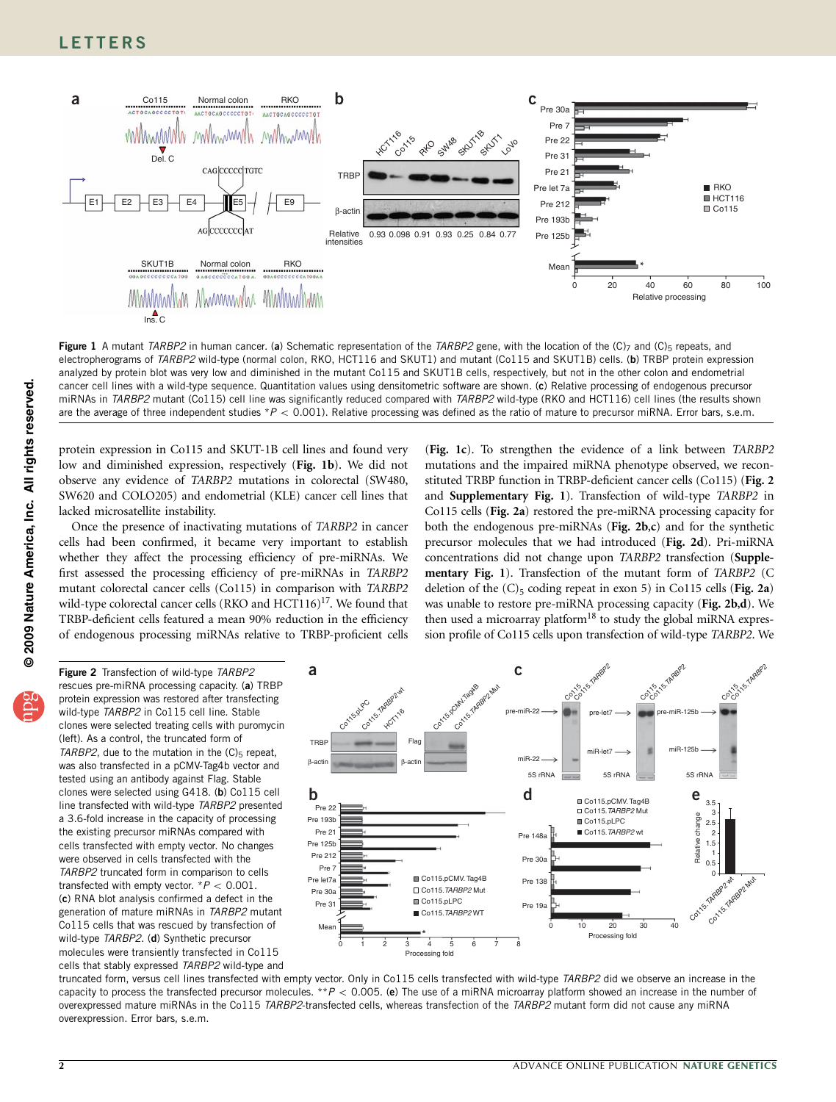<span id="page-1-0"></span>

Figure 1 A mutant TARBP2 in human cancer. (a) Schematic representation of the TARBP2 gene, with the location of the  $(C)_7$  and  $(C)_5$  repeats, and electropherograms of TARBP2 wild-type (normal colon, RKO, HCT116 and SKUT1) and mutant (Co115 and SKUT1B) cells. (b) TRBP protein expression analyzed by protein blot was very low and diminished in the mutant Co115 and SKUT1B cells, respectively, but not in the other colon and endometrial cancer cell lines with a wild-type sequence. Quantitation values using densitometric software are shown. (c) Relative processing of endogenous precursor miRNAs in TARBP2 mutant (Co115) cell line was significantly reduced compared with TARBP2 wild-type (RKO and HCT116) cell lines (the results shown are the average of three independent studies \*P < 0.001). Relative processing was defined as the ratio of mature to precursor miRNA. Error bars, s.e.m.

protein expression in Co115 and SKUT-1B cell lines and found very low and diminished expression, respectively (Fig. 1b). We did not observe any evidence of TARBP2 mutations in colorectal (SW480, SW620 and COLO205) and endometrial (KLE) cancer cell lines that lacked microsatellite instability.

Once the presence of inactivating mutations of TARBP2 in cancer cells had been confirmed, it became very important to establish whether they affect the processing efficiency of pre-miRNAs. We first assessed the processing efficiency of pre-miRNAs in TARBP2 mutant colorectal cancer cells (Co115) in comparison with TARBP2 wild-type colorectal cancer cells (RKO and HCT116) $17$ . We found that TRBP-deficient cells featured a mean 90% reduction in the efficiency of endogenous processing miRNAs relative to TRBP-proficient cells

(Fig. 1c). To strengthen the evidence of a link between TARBP2 mutations and the impaired miRNA phenotype observed, we reconstituted TRBP function in TRBP-deficient cancer cells (Co115) (Fig. 2 and Supplementary Fig. 1). Transfection of wild-type TARBP2 in Co115 cells (Fig. 2a) restored the pre-miRNA processing capacity for both the endogenous pre-miRNAs (Fig. 2b,c) and for the synthetic precursor molecules that we had introduced (Fig. 2d). Pri-miRNA concentrations did not change upon TARBP2 transfection (Supplementary Fig. 1). Transfection of the mutant form of TARBP2 (C deletion of the  $(C)_5$  coding repeat in exon 5) in Co115 cells (Fig. 2a) was unable to restore pre-miRNA processing capacity (Fig. 2b,d). We then used a microarray platform<sup>18</sup> to study the global miRNA expression profile of Co115 cells upon transfection of wild-type TARBP2. We

Figure 2 Transfection of wild-type TARBP2 rescues pre-miRNA processing capacity. (a) TRBP protein expression was restored after transfecting wild-type TARBP2 in Co115 cell line. Stable clones were selected treating cells with puromycin (left). As a control, the truncated form of TARBP2, due to the mutation in the  $(C)$ <sub>5</sub> repeat, was also transfected in a pCMV-Tag4b vector and tested using an antibody against Flag. Stable clones were selected using G418. (b) Co115 cell line transfected with wild-type TARBP2 presented a 3.6-fold increase in the capacity of processing the existing precursor miRNAs compared with cells transfected with empty vector. No changes were observed in cells transfected with the TARBP2 truncated form in comparison to cells transfected with empty vector.  $*P < 0.001$ . (c) RNA blot analysis confirmed a defect in the generation of mature miRNAs in TARBP2 mutant Co115 cells that was rescued by transfection of wild-type TARBP2. (d) Synthetic precursor molecules were transiently transfected in Co115 cells that stably expressed TARBP2 wild-type and



truncated form, versus cell lines transfected with empty vector. Only in Co115 cells transfected with wild-type TARBP2 did we observe an increase in the capacity to process the transfected precursor molecules. \*\* $P < 0.005$ . (e) The use of a miRNA microarray platform showed an increase in the number of overexpressed mature miRNAs in the Co115 TARBP2-transfected cells, whereas transfection of the TARBP2 mutant form did not cause any miRNA overexpression. Error bars, s.e.m.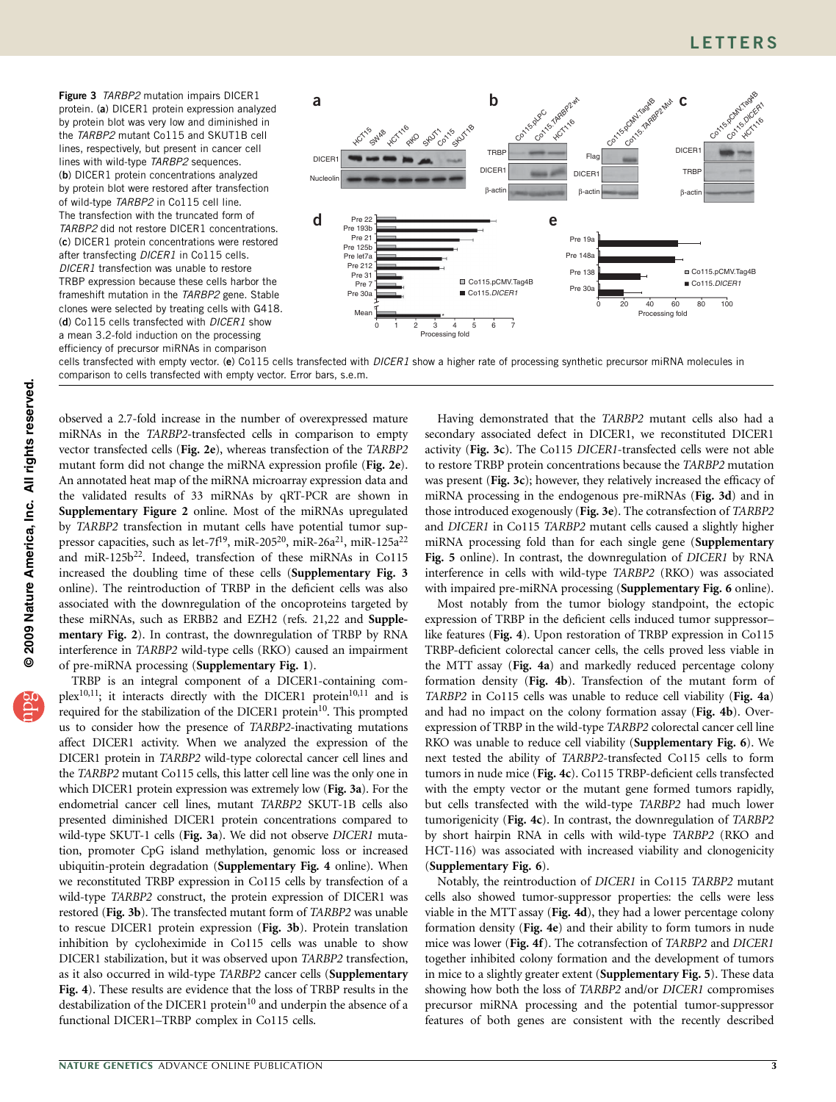Figure 3 TARBP2 mutation impairs DICER1 protein. (a) DICER1 protein expression analyzed by protein blot was very low and diminished in the TARBP2 mutant Co115 and SKUT1B cell lines, respectively, but present in cancer cell lines with wild-type TARBP2 sequences. (b) DICER1 protein concentrations analyzed by protein blot were restored after transfection of wild-type TARBP2 in Co115 cell line. The transfection with the truncated form of TARBP2 did not restore DICER1 concentrations. (c) DICER1 protein concentrations were restored after transfecting DICER1 in Co115 cells. DICER1 transfection was unable to restore TRBP expression because these cells harbor the frameshift mutation in the TARBP2 gene. Stable clones were selected by treating cells with G418. (d) Co115 cells transfected with DICER1 show a mean 3.2-fold induction on the processing efficiency of precursor miRNAs in comparison



cells transfected with empty vector. (e) Co115 cells transfected with DICER1 show a higher rate of processing synthetic precursor miRNA molecules in comparison to cells transfected with empty vector. Error bars, s.e.m.

observed a 2.7-fold increase in the number of overexpressed mature miRNAs in the TARBP2-transfected cells in comparison to empty vector transfected cells ([Fig. 2e](#page-1-0)), whereas transfection of the TARBP2 mutant form did not change the miRNA expression profile ([Fig. 2e](#page-1-0)). An annotated heat map of the miRNA microarray expression data and the validated results of 33 miRNAs by qRT-PCR are shown in Supplementary Figure 2 online. Most of the miRNAs upregulated by TARBP2 transfection in mutant cells have potential tumor sup-pressor capacities, such as let-7f<sup>19</sup>, miR-[20](#page-5-0)5<sup>20</sup>, miR-26a<sup>21</sup>, miR-125a<sup>[22](#page-5-0)</sup> and miR-125 $b^{22}$  $b^{22}$  $b^{22}$ . Indeed, transfection of these miRNAs in Co115 increased the doubling time of these cells (Supplementary Fig. 3 online). The reintroduction of TRBP in the deficient cells was also associated with the downregulation of the oncoproteins targeted by these miRNAs, such as ERBB2 and EZH2 (refs. 21,22 and Supplementary Fig. 2). In contrast, the downregulation of TRBP by RNA interference in TARBP2 wild-type cells (RKO) caused an impairment of pre-miRNA processing (Supplementary Fig. 1).

TRBP is an integral component of a DICER1-containing com- $plex^{10,11}$  $plex^{10,11}$  $plex^{10,11}$ ; it interacts directly with the DICER1 protein<sup>10,11</sup> and is required for the stabilization of the DICER1 protein<sup>10</sup>. This prompted us to consider how the presence of TARBP2-inactivating mutations affect DICER1 activity. When we analyzed the expression of the DICER1 protein in TARBP2 wild-type colorectal cancer cell lines and the TARBP2 mutant Co115 cells, this latter cell line was the only one in which DICER1 protein expression was extremely low (Fig. 3a). For the endometrial cancer cell lines, mutant TARBP2 SKUT-1B cells also presented diminished DICER1 protein concentrations compared to wild-type SKUT-1 cells (Fig. 3a). We did not observe DICER1 mutation, promoter CpG island methylation, genomic loss or increased ubiquitin-protein degradation (Supplementary Fig. 4 online). When we reconstituted TRBP expression in Co115 cells by transfection of a wild-type TARBP2 construct, the protein expression of DICER1 was restored (Fig. 3b). The transfected mutant form of TARBP2 was unable to rescue DICER1 protein expression (Fig. 3b). Protein translation inhibition by cycloheximide in Co115 cells was unable to show DICER1 stabilization, but it was observed upon TARBP2 transfection, as it also occurred in wild-type TARBP2 cancer cells (Supplementary Fig. 4). These results are evidence that the loss of TRBP results in the destabilization of the DICER1 protein $10$  and underpin the absence of a functional DICER1–TRBP complex in Co115 cells.

Having demonstrated that the TARBP2 mutant cells also had a secondary associated defect in DICER1, we reconstituted DICER1 activity (Fig. 3c). The Co115 DICER1-transfected cells were not able to restore TRBP protein concentrations because the TARBP2 mutation was present (Fig. 3c); however, they relatively increased the efficacy of miRNA processing in the endogenous pre-miRNAs (Fig. 3d) and in those introduced exogenously (Fig. 3e). The cotransfection of TARBP2 and DICER1 in Co115 TARBP2 mutant cells caused a slightly higher miRNA processing fold than for each single gene (Supplementary Fig. 5 online). In contrast, the downregulation of DICER1 by RNA interference in cells with wild-type TARBP2 (RKO) was associated with impaired pre-miRNA processing (Supplementary Fig. 6 online).

Most notably from the tumor biology standpoint, the ectopic expression of TRBP in the deficient cells induced tumor suppressor– like features ([Fig. 4](#page-3-0)). Upon restoration of TRBP expression in Co115 TRBP-deficient colorectal cancer cells, the cells proved less viable in the MTT assay ([Fig. 4a](#page-3-0)) and markedly reduced percentage colony formation density ([Fig. 4b](#page-3-0)). Transfection of the mutant form of TARBP2 in Co115 cells was unable to reduce cell viability ([Fig. 4a](#page-3-0)) and had no impact on the colony formation assay ([Fig. 4b](#page-3-0)). Overexpression of TRBP in the wild-type TARBP2 colorectal cancer cell line RKO was unable to reduce cell viability (Supplementary Fig. 6). We next tested the ability of TARBP2-transfected Co115 cells to form tumors in nude mice ([Fig. 4c](#page-3-0)). Co115 TRBP-deficient cells transfected with the empty vector or the mutant gene formed tumors rapidly, but cells transfected with the wild-type TARBP2 had much lower tumorigenicity ([Fig. 4c](#page-3-0)). In contrast, the downregulation of TARBP2 by short hairpin RNA in cells with wild-type TARBP2 (RKO and HCT-116) was associated with increased viability and clonogenicity (Supplementary Fig. 6).

Notably, the reintroduction of DICER1 in Co115 TARBP2 mutant cells also showed tumor-suppressor properties: the cells were less viable in the MTT assay ([Fig. 4d](#page-3-0)), they had a lower percentage colony formation density ([Fig. 4e](#page-3-0)) and their ability to form tumors in nude mice was lower ([Fig. 4f](#page-3-0)). The cotransfection of TARBP2 and DICER1 together inhibited colony formation and the development of tumors in mice to a slightly greater extent (Supplementary Fig. 5). These data showing how both the loss of TARBP2 and/or DICER1 compromises precursor miRNA processing and the potential tumor-suppressor features of both genes are consistent with the recently described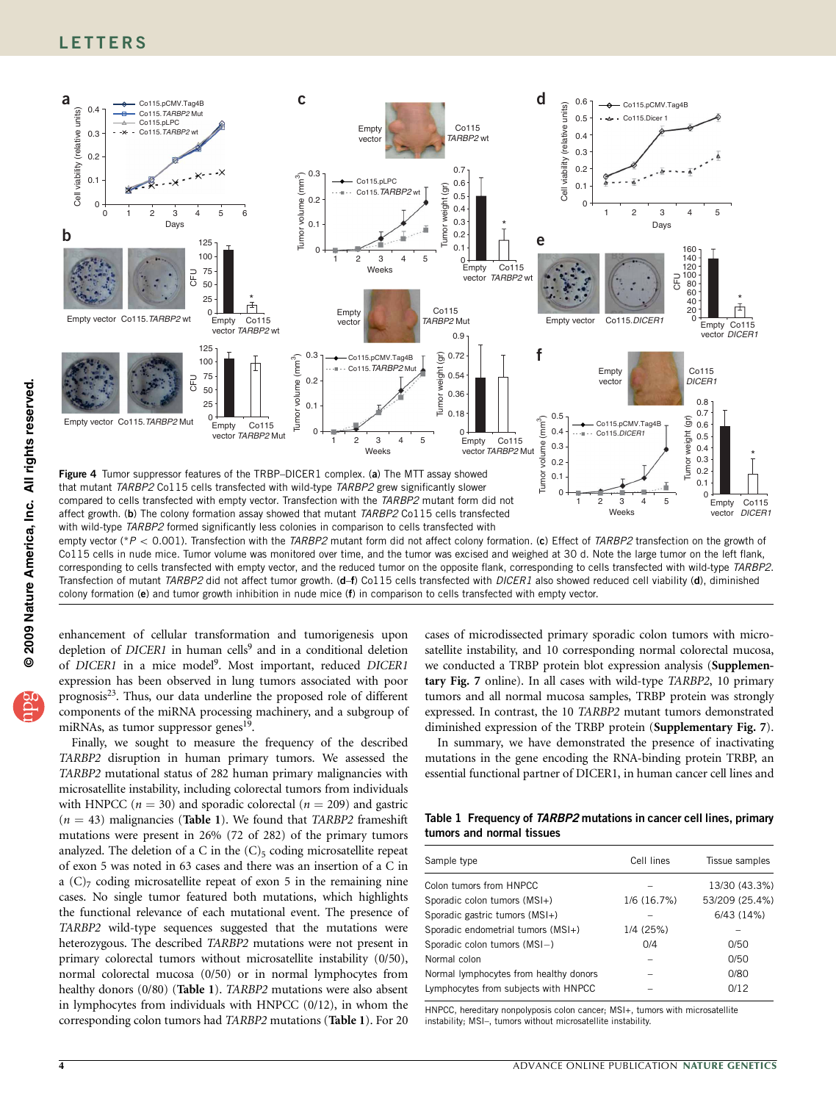<span id="page-3-0"></span>

Co115 cells in nude mice. Tumor volume was monitored over time, and the tumor was excised and weighed at 30 d. Note the large tumor on the left flank, corresponding to cells transfected with empty vector, and the reduced tumor on the opposite flank, corresponding to cells transfected with wild-type TARBP2. Transfection of mutant TARBP2 did not affect tumor growth. (d-f) Co115 cells transfected with DICER1 also showed reduced cell viability (d), diminished colony formation (e) and tumor growth inhibition in nude mice (f) in comparison to cells transfected with empty vector.

enhancement of cellular transformation and tumorigenesis upon depletion of  $DICER1$  in human cells<sup>9</sup> and in a conditional deletion of DICER1 in a mice model<sup>9</sup>. Most important, reduced DICER1 expression has been observed in lung tumors associated with poor prognosis<sup>23</sup>. Thus, our data underline the proposed role of different components of the miRNA processing machinery, and a subgroup of miRNAs, as tumor suppressor genes<sup>19</sup>.

Finally, we sought to measure the frequency of the described TARBP2 disruption in human primary tumors. We assessed the TARBP2 mutational status of 282 human primary malignancies with microsatellite instability, including colorectal tumors from individuals with HNPCC ( $n = 30$ ) and sporadic colorectal ( $n = 209$ ) and gastric  $(n = 43)$  malignancies (Table 1). We found that TARBP2 frameshift mutations were present in 26% (72 of 282) of the primary tumors analyzed. The deletion of a C in the  $(C)_5$  coding microsatellite repeat of exon 5 was noted in 63 cases and there was an insertion of a C in a  $(C)$ <sub>7</sub> coding microsatellite repeat of exon 5 in the remaining nine cases. No single tumor featured both mutations, which highlights the functional relevance of each mutational event. The presence of TARBP2 wild-type sequences suggested that the mutations were heterozygous. The described TARBP2 mutations were not present in primary colorectal tumors without microsatellite instability (0/50), normal colorectal mucosa (0/50) or in normal lymphocytes from healthy donors (0/80) (Table 1). TARBP2 mutations were also absent in lymphocytes from individuals with HNPCC (0/12), in whom the corresponding colon tumors had TARBP2 mutations (Table 1). For 20

cases of microdissected primary sporadic colon tumors with microsatellite instability, and 10 corresponding normal colorectal mucosa, we conducted a TRBP protein blot expression analysis (Supplementary Fig. 7 online). In all cases with wild-type TARBP2, 10 primary tumors and all normal mucosa samples, TRBP protein was strongly expressed. In contrast, the 10 TARBP2 mutant tumors demonstrated diminished expression of the TRBP protein (Supplementary Fig. 7).

In summary, we have demonstrated the presence of inactivating mutations in the gene encoding the RNA-binding protein TRBP, an essential functional partner of DICER1, in human cancer cell lines and

Table 1 Frequency of TARBP2 mutations in cancer cell lines, primary tumors and normal tissues

| Sample type                            | Cell lines  | Tissue samples |
|----------------------------------------|-------------|----------------|
| Colon tumors from HNPCC                |             | 13/30 (43.3%)  |
| Sporadic colon tumors (MSI+)           | 1/6 (16.7%) | 53/209 (25.4%) |
| Sporadic gastric tumors (MSI+)         |             | 6/43 (14%)     |
| Sporadic endometrial tumors (MSI+)     | 1/4 (25%)   |                |
| Sporadic colon tumors (MSI-)           | O/4         | 0/50           |
| Normal colon                           |             | 0/50           |
| Normal lymphocytes from healthy donors |             | 0/80           |
| Lymphocytes from subjects with HNPCC   |             | 0/12           |
|                                        |             |                |

HNPCC, hereditary nonpolyposis colon cancer; MSI+, tumors with microsatellite instability; MSI–, tumors without microsatellite instability.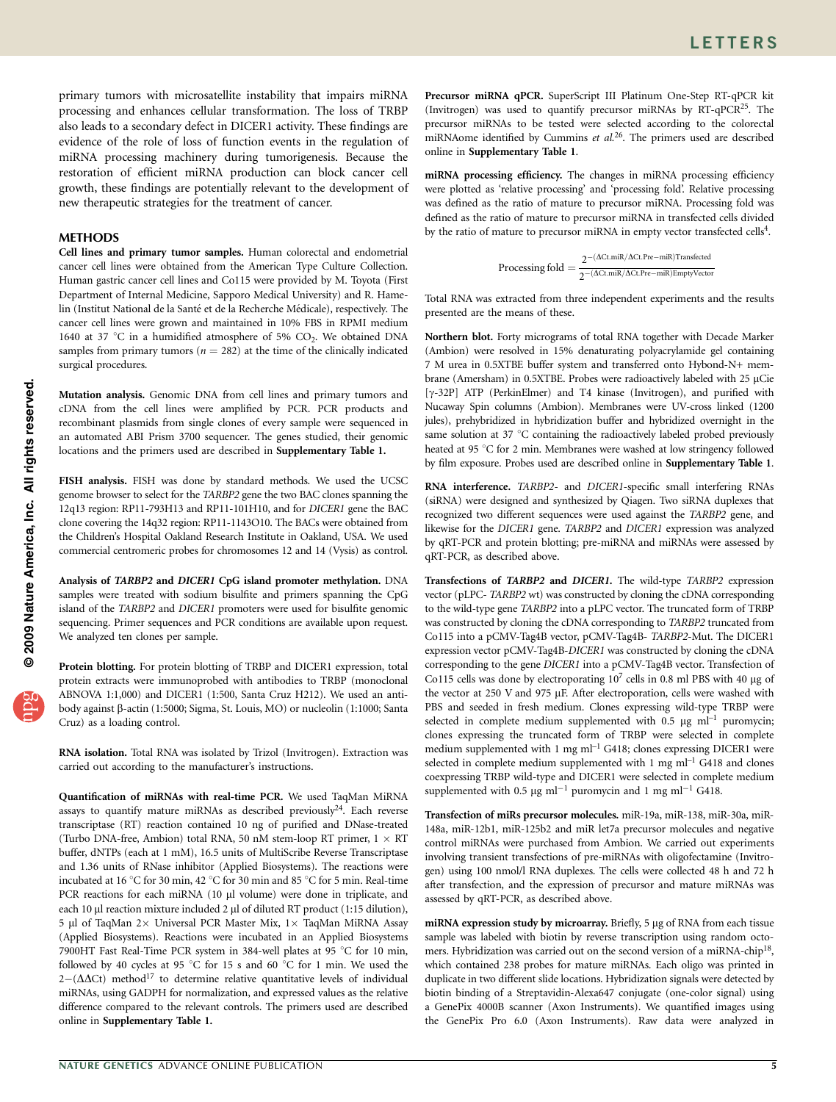primary tumors with microsatellite instability that impairs miRNA processing and enhances cellular transformation. The loss of TRBP also leads to a secondary defect in DICER1 activity. These findings are evidence of the role of loss of function events in the regulation of miRNA processing machinery during tumorigenesis. Because the restoration of efficient miRNA production can block cancer cell growth, these findings are potentially relevant to the development of new therapeutic strategies for the treatment of cancer.

## METHODS

Cell lines and primary tumor samples. Human colorectal and endometrial cancer cell lines were obtained from the American Type Culture Collection. Human gastric cancer cell lines and Co115 were provided by M. Toyota (First Department of Internal Medicine, Sapporo Medical University) and R. Hamelin (Institut National de la Santé et de la Recherche Médicale), respectively. The cancer cell lines were grown and maintained in 10% FBS in RPMI medium 1640 at 37 °C in a humidified atmosphere of 5%  $CO<sub>2</sub>$ . We obtained DNA samples from primary tumors ( $n = 282$ ) at the time of the clinically indicated surgical procedures.

Mutation analysis. Genomic DNA from cell lines and primary tumors and cDNA from the cell lines were amplified by PCR. PCR products and recombinant plasmids from single clones of every sample were sequenced in an automated ABI Prism 3700 sequencer. The genes studied, their genomic locations and the primers used are described in Supplementary Table 1.

FISH analysis. FISH was done by standard methods. We used the UCSC genome browser to select for the TARBP2 gene the two BAC clones spanning the 12q13 region: RP11-793H13 and RP11-101H10, and for DICER1 gene the BAC clone covering the 14q32 region: RP11-1143O10. The BACs were obtained from the Children's Hospital Oakland Research Institute in Oakland, USA. We used commercial centromeric probes for chromosomes 12 and 14 (Vysis) as control.

Analysis of TARBP2 and DICER1 CpG island promoter methylation. DNA samples were treated with sodium bisulfite and primers spanning the CpG island of the TARBP2 and DICER1 promoters were used for bisulfite genomic sequencing. Primer sequences and PCR conditions are available upon request. We analyzed ten clones per sample.

Protein blotting. For protein blotting of TRBP and DICER1 expression, total protein extracts were immunoprobed with antibodies to TRBP (monoclonal ABNOVA 1:1,000) and DICER1 (1:500, Santa Cruz H212). We used an antibody against b-actin (1:5000; Sigma, St. Louis, MO) or nucleolin (1:1000; Santa Cruz) as a loading control.

RNA isolation. Total RNA was isolated by Trizol (Invitrogen). Extraction was carried out according to the manufacturer's instructions.

Quantification of miRNAs with real-time PCR. We used TaqMan MiRNA assays to quantify mature miRNAs as described previously<sup>[24](#page-5-0)</sup>. Each reverse transcriptase (RT) reaction contained 10 ng of purified and DNase-treated (Turbo DNA-free, Ambion) total RNA, 50 nM stem-loop RT primer,  $1 \times RT$ buffer, dNTPs (each at 1 mM), 16.5 units of MultiScribe Reverse Transcriptase and 1.36 units of RNase inhibitor (Applied Biosystems). The reactions were incubated at 16 °C for 30 min, 42 °C for 30 min and 85 °C for 5 min. Real-time PCR reactions for each miRNA (10 µl volume) were done in triplicate, and each 10 µl reaction mixture included 2 µl of diluted RT product (1:15 dilution), 5 µl of TaqMan  $2\times$  Universal PCR Master Mix,  $1\times$  TaqMan MiRNA Assay (Applied Biosystems). Reactions were incubated in an Applied Biosystems 7900HT Fast Real-Time PCR system in 384-well plates at 95 °C for 10 min, followed by 40 cycles at 95 °C for 15 s and 60 °C for 1 min. We used the  $2-(\Delta\Delta\text{C}t)$  method<sup>17</sup> to determine relative quantitative levels of individual miRNAs, using GADPH for normalization, and expressed values as the relative difference compared to the relevant controls. The primers used are described online in Supplementary Table 1.

Precursor miRNA qPCR. SuperScript III Platinum One-Step RT-qPCR kit (Invitrogen) was used to quantify precursor miRNAs by RT-qPC[R25.](#page-5-0) The precursor miRNAs to be tested were selected according to the colorectal miRNAome identified by Cummins et al.<sup>[26](#page-5-0)</sup>. The primers used are described online in Supplementary Table 1.

miRNA processing efficiency. The changes in miRNA processing efficiency were plotted as 'relative processing' and 'processing fold'. Relative processing was defined as the ratio of mature to precursor miRNA. Processing fold was defined as the ratio of mature to precursor miRNA in transfected cells divided by the ratio of mature to precursor miRNA in empty vector transfected cells<sup>4</sup>.

$$
Processing fold = \frac{2^{-(\Delta C t.miR/\Delta C t.Pre-miR)Transfected}}{2^{-(\Delta C t.miR/\Delta C t.Pre-miR)EmptyVector}}
$$

Total RNA was extracted from three independent experiments and the results presented are the means of these.

Northern blot. Forty micrograms of total RNA together with Decade Marker (Ambion) were resolved in 15% denaturating polyacrylamide gel containing 7 M urea in 0.5XTBE buffer system and transferred onto Hybond-N+ membrane (Amersham) in 0.5XTBE. Probes were radioactively labeled with 25 µCie [ $\gamma$ -32P] ATP (PerkinElmer) and T4 kinase (Invitrogen), and purified with Nucaway Spin columns (Ambion). Membranes were UV-cross linked (1200 jules), prehybridized in hybridization buffer and hybridized overnight in the same solution at 37  $\degree$ C containing the radioactively labeled probed previously heated at 95 °C for 2 min. Membranes were washed at low stringency followed by film exposure. Probes used are described online in Supplementary Table 1.

RNA interference. TARBP2- and DICER1-specific small interfering RNAs (siRNA) were designed and synthesized by Qiagen. Two siRNA duplexes that recognized two different sequences were used against the TARBP2 gene, and likewise for the DICER1 gene. TARBP2 and DICER1 expression was analyzed by qRT-PCR and protein blotting; pre-miRNA and miRNAs were assessed by qRT-PCR, as described above.

Transfections of TARBP2 and DICER1. The wild-type TARBP2 expression vector (pLPC- TARBP2 wt) was constructed by cloning the cDNA corresponding to the wild-type gene TARBP2 into a pLPC vector. The truncated form of TRBP was constructed by cloning the cDNA corresponding to TARBP2 truncated from Co115 into a pCMV-Tag4B vector, pCMV-Tag4B- TARBP2-Mut. The DICER1 expression vector pCMV-Tag4B-DICER1 was constructed by cloning the cDNA corresponding to the gene DICER1 into a pCMV-Tag4B vector. Transfection of Co115 cells was done by electroporating  $10^7$  cells in 0.8 ml PBS with 40 µg of the vector at 250 V and 975 µF. After electroporation, cells were washed with PBS and seeded in fresh medium. Clones expressing wild-type TRBP were selected in complete medium supplemented with 0.5  $\mu$ g ml<sup>-1</sup> puromycin; clones expressing the truncated form of TRBP were selected in complete medium supplemented with 1 mg ml<sup>-1</sup> G418; clones expressing DICER1 were selected in complete medium supplemented with 1 mg  $ml^{-1}$  G418 and clones coexpressing TRBP wild-type and DICER1 were selected in complete medium supplemented with 0.5  $\mu$ g ml<sup>-1</sup> puromycin and 1 mg ml<sup>-1</sup> G418.

Transfection of miRs precursor molecules. miR-19a, miR-138, miR-30a, miR-148a, miR-12b1, miR-125b2 and miR let7a precursor molecules and negative control miRNAs were purchased from Ambion. We carried out experiments involving transient transfections of pre-miRNAs with oligofectamine (Invitrogen) using 100 nmol/l RNA duplexes. The cells were collected 48 h and 72 h after transfection, and the expression of precursor and mature miRNAs was assessed by qRT-PCR, as described above.

miRNA expression study by microarray. Briefly, 5 µg of RNA from each tissue sample was labeled with biotin by reverse transcription using random octomers. Hybridization was carried out on the second version of a miRNA-chip<sup>18</sup>, which contained 238 probes for mature miRNAs. Each oligo was printed in duplicate in two different slide locations. Hybridization signals were detected by biotin binding of a Streptavidin-Alexa647 conjugate (one-color signal) using a GenePix 4000B scanner (Axon Instruments). We quantified images using the GenePix Pro 6.0 (Axon Instruments). Raw data were analyzed in